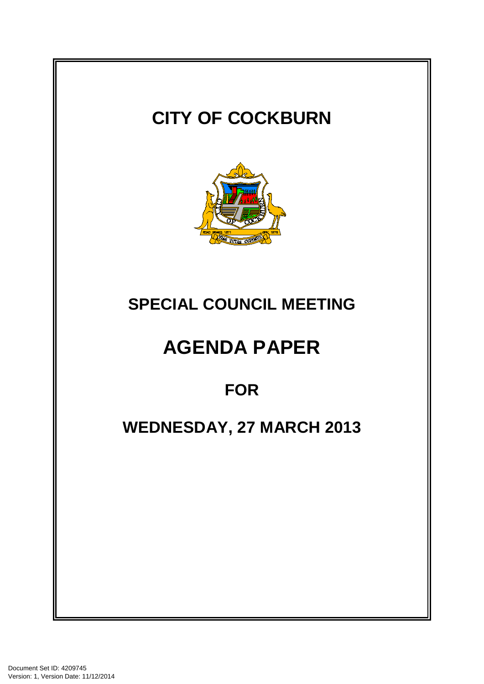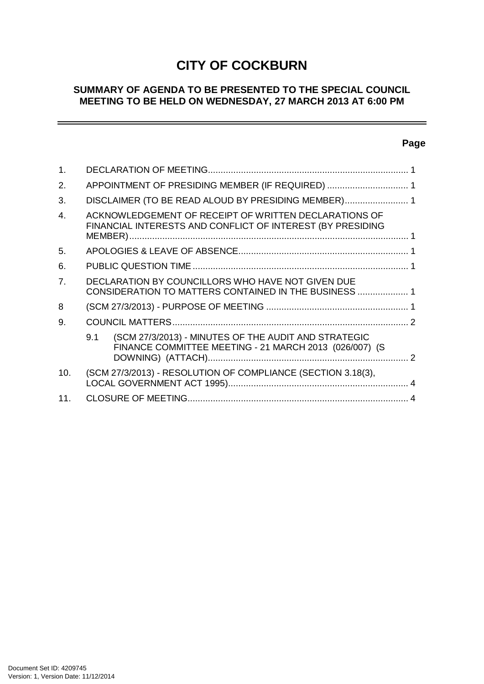# **CITY OF COCKBURN**

## **SUMMARY OF AGENDA TO BE PRESENTED TO THE SPECIAL COUNCIL MEETING TO BE HELD ON WEDNESDAY, 27 MARCH 2013 AT 6:00 PM**

## **Page**

 $=$ 

| 1.             |                                                                                                                       |  |
|----------------|-----------------------------------------------------------------------------------------------------------------------|--|
| 2.             | APPOINTMENT OF PRESIDING MEMBER (IF REQUIRED)  1                                                                      |  |
| 3.             | DISCLAIMER (TO BE READ ALOUD BY PRESIDING MEMBER) 1                                                                   |  |
| 4.             | ACKNOWLEDGEMENT OF RECEIPT OF WRITTEN DECLARATIONS OF<br>FINANCIAL INTERESTS AND CONFLICT OF INTEREST (BY PRESIDING   |  |
| 5.             |                                                                                                                       |  |
| 6.             |                                                                                                                       |  |
| 7 <sub>1</sub> | DECLARATION BY COUNCILLORS WHO HAVE NOT GIVEN DUE<br>CONSIDERATION TO MATTERS CONTAINED IN THE BUSINESS  1            |  |
| 8              |                                                                                                                       |  |
| 9.             |                                                                                                                       |  |
|                | (SCM 27/3/2013) - MINUTES OF THE AUDIT AND STRATEGIC<br>9.1<br>FINANCE COMMITTEE MEETING - 21 MARCH 2013 (026/007) (S |  |
| 10.            | (SCM 27/3/2013) - RESOLUTION OF COMPLIANCE (SECTION 3.18(3),                                                          |  |
| 11.            |                                                                                                                       |  |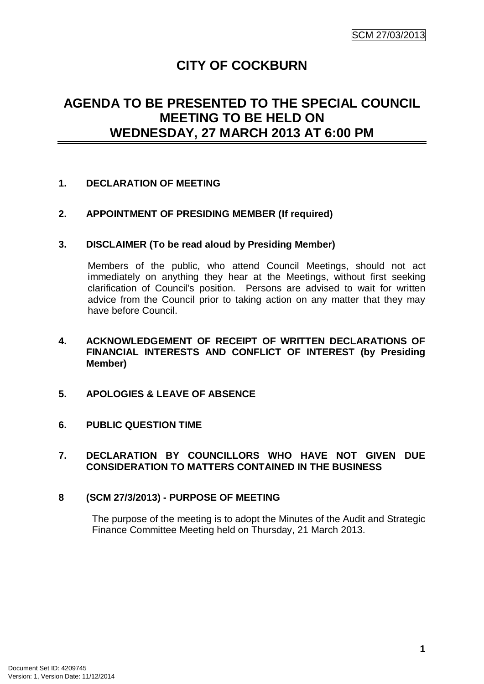## **CITY OF COCKBURN**

## **AGENDA TO BE PRESENTED TO THE SPECIAL COUNCIL MEETING TO BE HELD ON WEDNESDAY, 27 MARCH 2013 AT 6:00 PM**

## **1. DECLARATION OF MEETING**

## **2. APPOINTMENT OF PRESIDING MEMBER (If required)**

## **3. DISCLAIMER (To be read aloud by Presiding Member)**

Members of the public, who attend Council Meetings, should not act immediately on anything they hear at the Meetings, without first seeking clarification of Council's position. Persons are advised to wait for written advice from the Council prior to taking action on any matter that they may have before Council.

## **4. ACKNOWLEDGEMENT OF RECEIPT OF WRITTEN DECLARATIONS OF FINANCIAL INTERESTS AND CONFLICT OF INTEREST (by Presiding Member)**

- **5. APOLOGIES & LEAVE OF ABSENCE**
- **6. PUBLIC QUESTION TIME**

#### **7. DECLARATION BY COUNCILLORS WHO HAVE NOT GIVEN DUE CONSIDERATION TO MATTERS CONTAINED IN THE BUSINESS**

## **8 (SCM 27/3/2013) - PURPOSE OF MEETING**

The purpose of the meeting is to adopt the Minutes of the Audit and Strategic Finance Committee Meeting held on Thursday, 21 March 2013.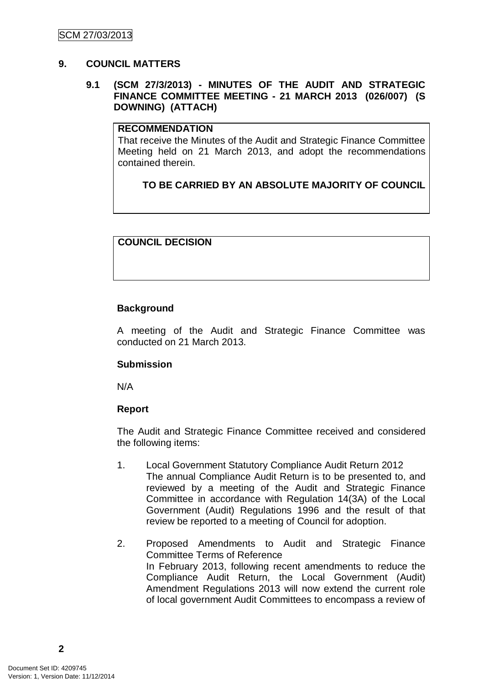## **9. COUNCIL MATTERS**

## **9.1 (SCM 27/3/2013) - MINUTES OF THE AUDIT AND STRATEGIC FINANCE COMMITTEE MEETING - 21 MARCH 2013 (026/007) (S DOWNING) (ATTACH)**

#### **RECOMMENDATION**

That receive the Minutes of the Audit and Strategic Finance Committee Meeting held on 21 March 2013, and adopt the recommendations contained therein.

## **TO BE CARRIED BY AN ABSOLUTE MAJORITY OF COUNCIL**

## **COUNCIL DECISION**

## **Background**

A meeting of the Audit and Strategic Finance Committee was conducted on 21 March 2013.

## **Submission**

N/A

## **Report**

The Audit and Strategic Finance Committee received and considered the following items:

- 1. Local Government Statutory Compliance Audit Return 2012 The annual Compliance Audit Return is to be presented to, and reviewed by a meeting of the Audit and Strategic Finance Committee in accordance with Regulation 14(3A) of the Local Government (Audit) Regulations 1996 and the result of that review be reported to a meeting of Council for adoption.
- 2. Proposed Amendments to Audit and Strategic Finance Committee Terms of Reference In February 2013, following recent amendments to reduce the Compliance Audit Return, the Local Government (Audit) Amendment Regulations 2013 will now extend the current role of local government Audit Committees to encompass a review of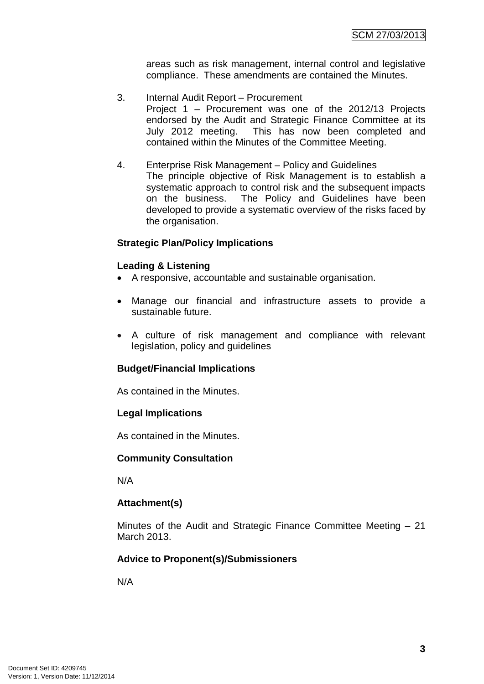areas such as risk management, internal control and legislative compliance. These amendments are contained the Minutes.

- 3. Internal Audit Report Procurement Project 1 – Procurement was one of the 2012/13 Projects endorsed by the Audit and Strategic Finance Committee at its July 2012 meeting. This has now been completed and contained within the Minutes of the Committee Meeting.
- 4. Enterprise Risk Management Policy and Guidelines The principle objective of Risk Management is to establish a systematic approach to control risk and the subsequent impacts on the business. The Policy and Guidelines have been developed to provide a systematic overview of the risks faced by the organisation.

## **Strategic Plan/Policy Implications**

## **Leading & Listening**

- A responsive, accountable and sustainable organisation.
- Manage our financial and infrastructure assets to provide a sustainable future.
- A culture of risk management and compliance with relevant legislation, policy and guidelines

## **Budget/Financial Implications**

As contained in the Minutes.

## **Legal Implications**

As contained in the Minutes.

## **Community Consultation**

N/A

## **Attachment(s)**

Minutes of the Audit and Strategic Finance Committee Meeting – 21 March 2013.

## **Advice to Proponent(s)/Submissioners**

N/A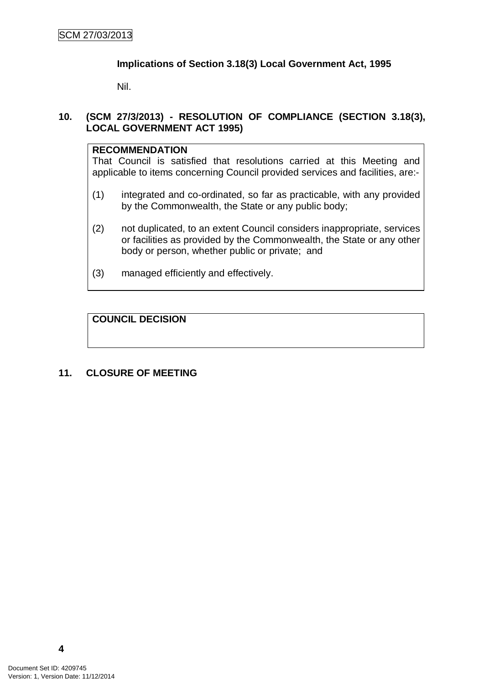## **Implications of Section 3.18(3) Local Government Act, 1995**

Nil.

## **10. (SCM 27/3/2013) - RESOLUTION OF COMPLIANCE (SECTION 3.18(3), LOCAL GOVERNMENT ACT 1995)**

## **RECOMMENDATION**

That Council is satisfied that resolutions carried at this Meeting and applicable to items concerning Council provided services and facilities, are:-

- (1) integrated and co-ordinated, so far as practicable, with any provided by the Commonwealth, the State or any public body;
- (2) not duplicated, to an extent Council considers inappropriate, services or facilities as provided by the Commonwealth, the State or any other body or person, whether public or private; and
- (3) managed efficiently and effectively.

## **COUNCIL DECISION**

## **11. CLOSURE OF MEETING**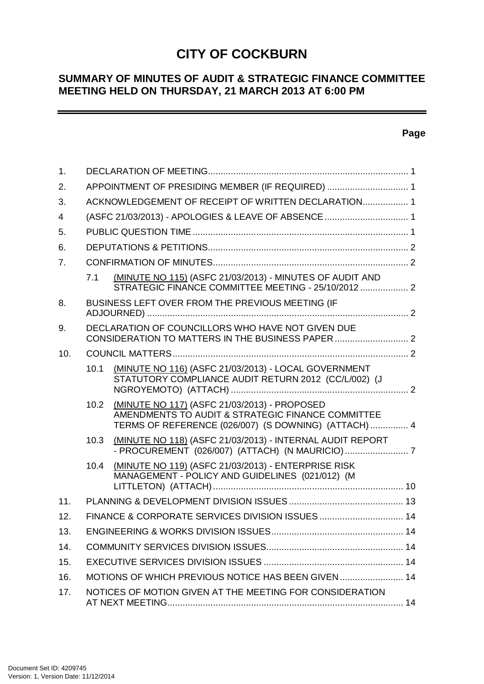# **CITY OF COCKBURN**

## **SUMMARY OF MINUTES OF AUDIT & STRATEGIC FINANCE COMMITTEE MEETING HELD ON THURSDAY, 21 MARCH 2013 AT 6:00 PM**

## **Page**

 $\overline{\phantom{0}}$ 

| $\mathbf{1}$ . |                                                     |                                                                                                                                                           |  |  |
|----------------|-----------------------------------------------------|-----------------------------------------------------------------------------------------------------------------------------------------------------------|--|--|
| 2.             | APPOINTMENT OF PRESIDING MEMBER (IF REQUIRED)  1    |                                                                                                                                                           |  |  |
| 3.             | ACKNOWLEDGEMENT OF RECEIPT OF WRITTEN DECLARATION 1 |                                                                                                                                                           |  |  |
| 4              | (ASFC 21/03/2013) - APOLOGIES & LEAVE OF ABSENCE  1 |                                                                                                                                                           |  |  |
| 5.             |                                                     |                                                                                                                                                           |  |  |
| 6.             |                                                     |                                                                                                                                                           |  |  |
| 7.             |                                                     |                                                                                                                                                           |  |  |
|                | 7.1                                                 | (MINUTE NO 115) (ASFC 21/03/2013) - MINUTES OF AUDIT AND<br>STRATEGIC FINANCE COMMITTEE MEETING - 25/10/2012  2                                           |  |  |
| 8.             |                                                     | BUSINESS LEFT OVER FROM THE PREVIOUS MEETING (IF                                                                                                          |  |  |
| 9.             |                                                     | DECLARATION OF COUNCILLORS WHO HAVE NOT GIVEN DUE<br>CONSIDERATION TO MATTERS IN THE BUSINESS PAPER  2                                                    |  |  |
| 10.            |                                                     |                                                                                                                                                           |  |  |
|                | 10.1                                                | (MINUTE NO 116) (ASFC 21/03/2013) - LOCAL GOVERNMENT<br>STATUTORY COMPLIANCE AUDIT RETURN 2012 (CC/L/002) (J                                              |  |  |
|                | 10.2                                                | (MINUTE NO 117) (ASFC 21/03/2013) - PROPOSED<br>AMENDMENTS TO AUDIT & STRATEGIC FINANCE COMMITTEE<br>TERMS OF REFERENCE (026/007) (S DOWNING) (ATTACH)  4 |  |  |
|                | 10.3                                                | (MINUTE NO 118) (ASFC 21/03/2013) - INTERNAL AUDIT REPORT                                                                                                 |  |  |
|                | 10.4                                                | (MINUTE NO 119) (ASFC 21/03/2013) - ENTERPRISE RISK<br>MANAGEMENT - POLICY AND GUIDELINES (021/012) (M                                                    |  |  |
| 11.            |                                                     |                                                                                                                                                           |  |  |
| 12.            |                                                     | FINANCE & CORPORATE SERVICES DIVISION ISSUES 14                                                                                                           |  |  |
| 13.            |                                                     |                                                                                                                                                           |  |  |
| 14.            |                                                     |                                                                                                                                                           |  |  |
| 15.            |                                                     |                                                                                                                                                           |  |  |
| 16.            | MOTIONS OF WHICH PREVIOUS NOTICE HAS BEEN GIVEN 14  |                                                                                                                                                           |  |  |
| 17.            |                                                     | NOTICES OF MOTION GIVEN AT THE MEETING FOR CONSIDERATION                                                                                                  |  |  |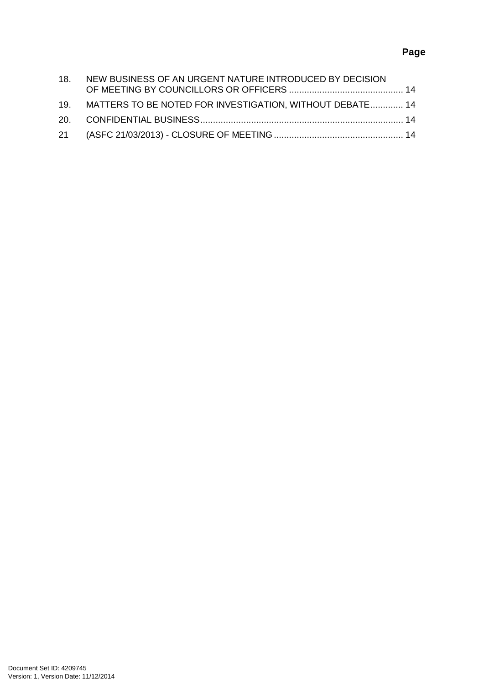## **Page**

| 18. NEW BUSINESS OF AN URGENT NATURE INTRODUCED BY DECISION  |  |
|--------------------------------------------------------------|--|
| 19. MATTERS TO BE NOTED FOR INVESTIGATION, WITHOUT DEBATE 14 |  |
|                                                              |  |
|                                                              |  |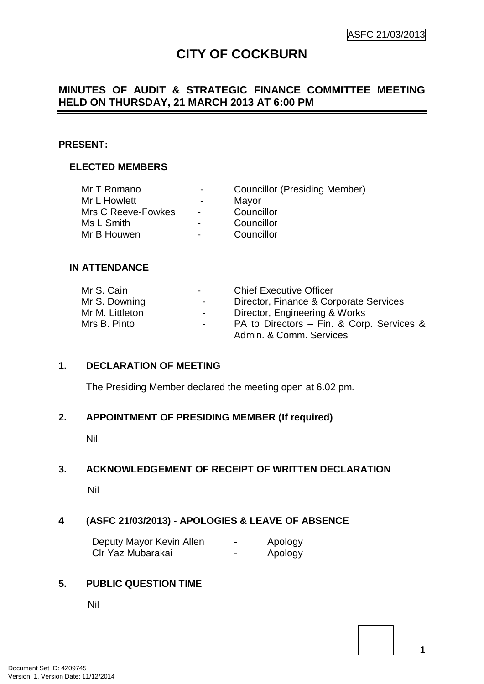## **CITY OF COCKBURN**

## **MINUTES OF AUDIT & STRATEGIC FINANCE COMMITTEE MEETING HELD ON THURSDAY, 21 MARCH 2013 AT 6:00 PM**

#### **PRESENT:**

## **ELECTED MEMBERS**

| $\overline{\phantom{0}}$ | <b>Councillor (Presiding Member)</b> |
|--------------------------|--------------------------------------|
| $\overline{\phantom{0}}$ | Mayor                                |
| $\blacksquare$           | Councillor                           |
| $\blacksquare$           | Councillor                           |
| $\blacksquare$           | Councillor                           |
|                          |                                      |

#### **IN ATTENDANCE**

| Mr S. Cain      | $\sim$ 100 $\mu$         | <b>Chief Executive Officer</b>            |
|-----------------|--------------------------|-------------------------------------------|
| Mr S. Downing   | $\sim 100$               | Director, Finance & Corporate Services    |
| Mr M. Littleton | $\sim$ 100 $\mu$         | Director, Engineering & Works             |
| Mrs B. Pinto    | $\overline{\phantom{a}}$ | PA to Directors – Fin. & Corp. Services & |
|                 |                          | Admin. & Comm. Services                   |

#### **1. DECLARATION OF MEETING**

The Presiding Member declared the meeting open at 6.02 pm.

#### **2. APPOINTMENT OF PRESIDING MEMBER (If required)**

Nil.

## **3. ACKNOWLEDGEMENT OF RECEIPT OF WRITTEN DECLARATION**

Nil

## **4 (ASFC 21/03/2013) - APOLOGIES & LEAVE OF ABSENCE**

| Deputy Mayor Kevin Allen | - | Apology |
|--------------------------|---|---------|
| Clr Yaz Mubarakai        | - | Apology |

## **5. PUBLIC QUESTION TIME**

Nil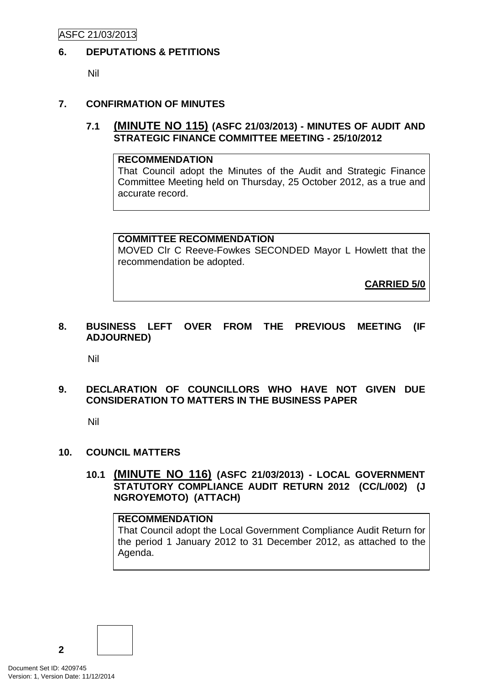## **6. DEPUTATIONS & PETITIONS**

Nil

## **7. CONFIRMATION OF MINUTES**

## **7.1 (MINUTE NO 115) (ASFC 21/03/2013) - MINUTES OF AUDIT AND STRATEGIC FINANCE COMMITTEE MEETING - 25/10/2012**

## **RECOMMENDATION**

That Council adopt the Minutes of the Audit and Strategic Finance Committee Meeting held on Thursday, 25 October 2012, as a true and accurate record.

## **COMMITTEE RECOMMENDATION**

MOVED Clr C Reeve-Fowkes SECONDED Mayor L Howlett that the recommendation be adopted.

**CARRIED 5/0**

## **8. BUSINESS LEFT OVER FROM THE PREVIOUS MEETING (IF ADJOURNED)**

Nil

## **9. DECLARATION OF COUNCILLORS WHO HAVE NOT GIVEN DUE CONSIDERATION TO MATTERS IN THE BUSINESS PAPER**

Nil

## **10. COUNCIL MATTERS**

**10.1 (MINUTE NO 116) (ASFC 21/03/2013) - LOCAL GOVERNMENT STATUTORY COMPLIANCE AUDIT RETURN 2012 (CC/L/002) (J NGROYEMOTO) (ATTACH)**

## **RECOMMENDATION**

That Council adopt the Local Government Compliance Audit Return for the period 1 January 2012 to 31 December 2012, as attached to the Agenda.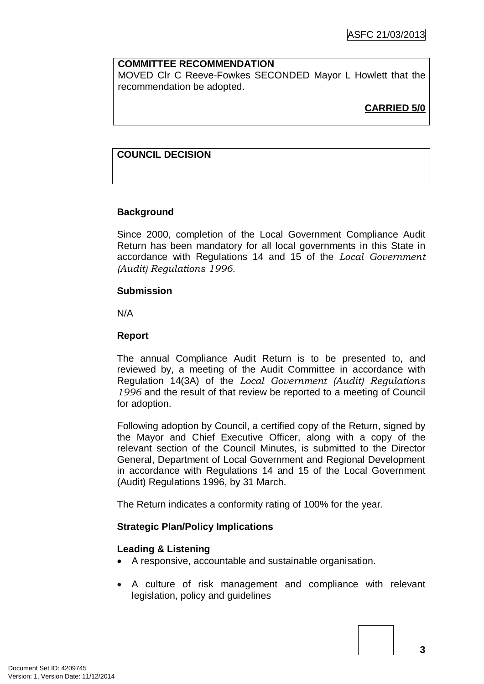## **COMMITTEE RECOMMENDATION**

MOVED Clr C Reeve-Fowkes SECONDED Mayor L Howlett that the recommendation be adopted.

## **CARRIED 5/0**

## **COUNCIL DECISION**

## **Background**

Since 2000, completion of the Local Government Compliance Audit Return has been mandatory for all local governments in this State in accordance with Regulations 14 and 15 of the *Local Government (Audit) Regulations 1996.*

#### **Submission**

N/A

## **Report**

The annual Compliance Audit Return is to be presented to, and reviewed by, a meeting of the Audit Committee in accordance with Regulation 14(3A) of the *Local Government (Audit) Regulations 1996* and the result of that review be reported to a meeting of Council for adoption.

Following adoption by Council, a certified copy of the Return, signed by the Mayor and Chief Executive Officer, along with a copy of the relevant section of the Council Minutes, is submitted to the Director General, Department of Local Government and Regional Development in accordance with Regulations 14 and 15 of the Local Government (Audit) Regulations 1996, by 31 March.

The Return indicates a conformity rating of 100% for the year.

## **Strategic Plan/Policy Implications**

## **Leading & Listening**

- A responsive, accountable and sustainable organisation.
- A culture of risk management and compliance with relevant legislation, policy and guidelines

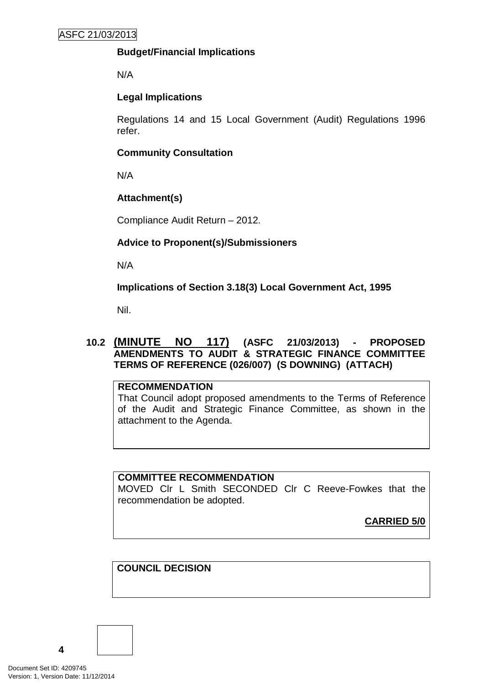## **Budget/Financial Implications**

N/A

## **Legal Implications**

Regulations 14 and 15 Local Government (Audit) Regulations 1996 refer.

## **Community Consultation**

N/A

## **Attachment(s)**

Compliance Audit Return – 2012.

## **Advice to Proponent(s)/Submissioners**

N/A

**Implications of Section 3.18(3) Local Government Act, 1995**

Nil.

## **10.2 (MINUTE NO 117) (ASFC 21/03/2013) - PROPOSED AMENDMENTS TO AUDIT & STRATEGIC FINANCE COMMITTEE TERMS OF REFERENCE (026/007) (S DOWNING) (ATTACH)**

## **RECOMMENDATION**

That Council adopt proposed amendments to the Terms of Reference of the Audit and Strategic Finance Committee, as shown in the attachment to the Agenda.

## **COMMITTEE RECOMMENDATION**

MOVED Clr L Smith SECONDED Clr C Reeve-Fowkes that the recommendation be adopted.

**CARRIED 5/0**

## **COUNCIL DECISION**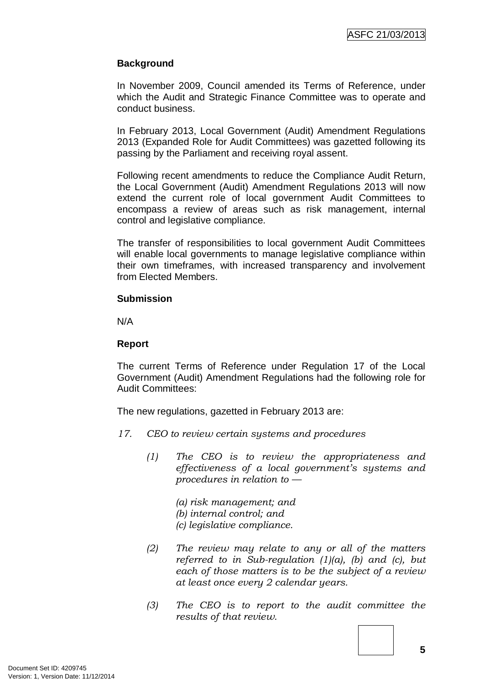## **Background**

In November 2009, Council amended its Terms of Reference, under which the Audit and Strategic Finance Committee was to operate and conduct business.

In February 2013, Local Government (Audit) Amendment Regulations 2013 (Expanded Role for Audit Committees) was gazetted following its passing by the Parliament and receiving royal assent.

Following recent amendments to reduce the Compliance Audit Return, the Local Government (Audit) Amendment Regulations 2013 will now extend the current role of local government Audit Committees to encompass a review of areas such as risk management, internal control and legislative compliance.

The transfer of responsibilities to local government Audit Committees will enable local governments to manage legislative compliance within their own timeframes, with increased transparency and involvement from Elected Members.

#### **Submission**

N/A

## **Report**

The current Terms of Reference under Regulation 17 of the Local Government (Audit) Amendment Regulations had the following role for Audit Committees:

The new regulations, gazetted in February 2013 are:

- *17. CEO to review certain systems and procedures*
	- *(1) The CEO is to review the appropriateness and effectiveness of a local government's systems and procedures in relation to —*

*(a) risk management; and (b) internal control; and (c) legislative compliance.*

- *(2) The review may relate to any or all of the matters referred to in Sub-regulation (1)(a), (b) and (c), but each of those matters is to be the subject of a review at least once every 2 calendar years.*
- *(3) The CEO is to report to the audit committee the results of that review.*

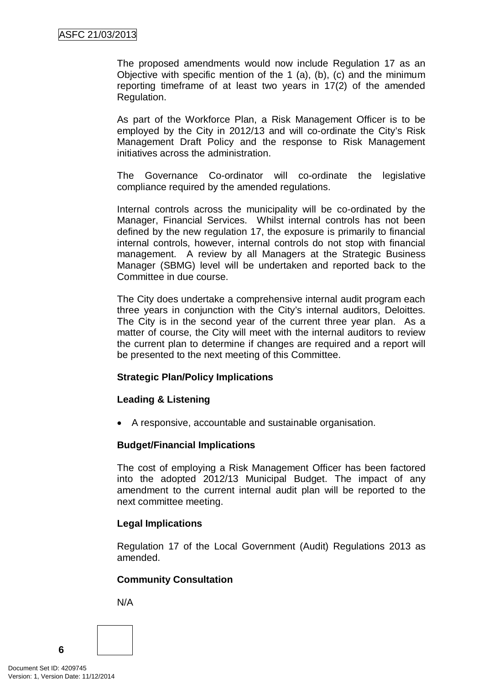The proposed amendments would now include Regulation 17 as an Objective with specific mention of the 1 (a), (b), (c) and the minimum reporting timeframe of at least two years in 17(2) of the amended Regulation.

As part of the Workforce Plan, a Risk Management Officer is to be employed by the City in 2012/13 and will co-ordinate the City's Risk Management Draft Policy and the response to Risk Management initiatives across the administration.

The Governance Co-ordinator will co-ordinate the legislative compliance required by the amended regulations.

Internal controls across the municipality will be co-ordinated by the Manager, Financial Services. Whilst internal controls has not been defined by the new regulation 17, the exposure is primarily to financial internal controls, however, internal controls do not stop with financial management. A review by all Managers at the Strategic Business Manager (SBMG) level will be undertaken and reported back to the Committee in due course.

The City does undertake a comprehensive internal audit program each three years in conjunction with the City's internal auditors, Deloittes. The City is in the second year of the current three year plan. As a matter of course, the City will meet with the internal auditors to review the current plan to determine if changes are required and a report will be presented to the next meeting of this Committee.

## **Strategic Plan/Policy Implications**

## **Leading & Listening**

• A responsive, accountable and sustainable organisation.

## **Budget/Financial Implications**

The cost of employing a Risk Management Officer has been factored into the adopted 2012/13 Municipal Budget. The impact of any amendment to the current internal audit plan will be reported to the next committee meeting.

## **Legal Implications**

Regulation 17 of the Local Government (Audit) Regulations 2013 as amended.

## **Community Consultation**

N/A

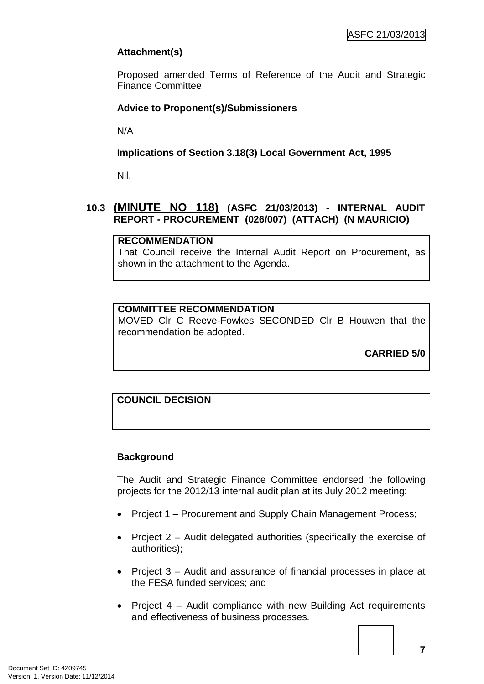## **Attachment(s)**

Proposed amended Terms of Reference of the Audit and Strategic Finance Committee.

## **Advice to Proponent(s)/Submissioners**

N/A

## **Implications of Section 3.18(3) Local Government Act, 1995**

Nil.

## **10.3 (MINUTE NO 118) (ASFC 21/03/2013) - INTERNAL AUDIT REPORT - PROCUREMENT (026/007) (ATTACH) (N MAURICIO)**

## **RECOMMENDATION**

That Council receive the Internal Audit Report on Procurement, as shown in the attachment to the Agenda.

## **COMMITTEE RECOMMENDATION**

MOVED Clr C Reeve-Fowkes SECONDED Clr B Houwen that the recommendation be adopted.

**CARRIED 5/0**

## **COUNCIL DECISION**

## **Background**

The Audit and Strategic Finance Committee endorsed the following projects for the 2012/13 internal audit plan at its July 2012 meeting:

- Project 1 Procurement and Supply Chain Management Process;
- Project 2 Audit delegated authorities (specifically the exercise of authorities);
- Project 3 Audit and assurance of financial processes in place at the FESA funded services; and
- Project 4 Audit compliance with new Building Act requirements and effectiveness of business processes.

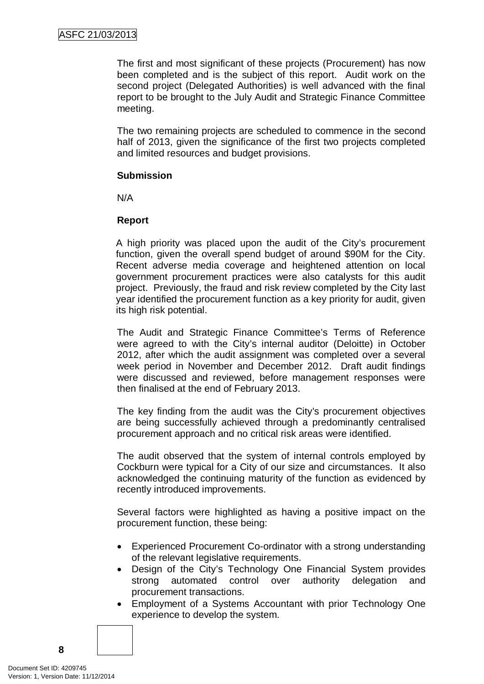The first and most significant of these projects (Procurement) has now been completed and is the subject of this report. Audit work on the second project (Delegated Authorities) is well advanced with the final report to be brought to the July Audit and Strategic Finance Committee meeting.

The two remaining projects are scheduled to commence in the second half of 2013, given the significance of the first two projects completed and limited resources and budget provisions.

#### **Submission**

N/A

## **Report**

A high priority was placed upon the audit of the City's procurement function, given the overall spend budget of around \$90M for the City. Recent adverse media coverage and heightened attention on local government procurement practices were also catalysts for this audit project. Previously, the fraud and risk review completed by the City last year identified the procurement function as a key priority for audit, given its high risk potential.

The Audit and Strategic Finance Committee's Terms of Reference were agreed to with the City's internal auditor (Deloitte) in October 2012, after which the audit assignment was completed over a several week period in November and December 2012. Draft audit findings were discussed and reviewed, before management responses were then finalised at the end of February 2013.

The key finding from the audit was the City's procurement objectives are being successfully achieved through a predominantly centralised procurement approach and no critical risk areas were identified.

The audit observed that the system of internal controls employed by Cockburn were typical for a City of our size and circumstances. It also acknowledged the continuing maturity of the function as evidenced by recently introduced improvements.

Several factors were highlighted as having a positive impact on the procurement function, these being:

- Experienced Procurement Co-ordinator with a strong understanding of the relevant legislative requirements.
- Design of the City's Technology One Financial System provides strong automated control over authority delegation and procurement transactions.
- Employment of a Systems Accountant with prior Technology One experience to develop the system.

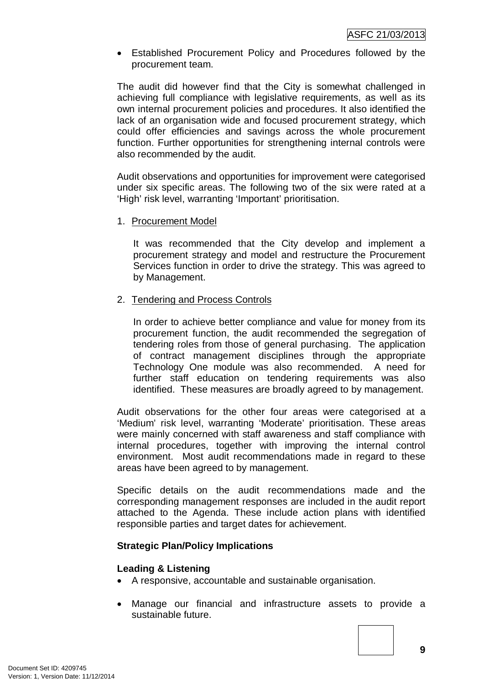• Established Procurement Policy and Procedures followed by the procurement team.

The audit did however find that the City is somewhat challenged in achieving full compliance with legislative requirements, as well as its own internal procurement policies and procedures. It also identified the lack of an organisation wide and focused procurement strategy, which could offer efficiencies and savings across the whole procurement function. Further opportunities for strengthening internal controls were also recommended by the audit.

Audit observations and opportunities for improvement were categorised under six specific areas. The following two of the six were rated at a 'High' risk level, warranting 'Important' prioritisation.

#### 1. Procurement Model

It was recommended that the City develop and implement a procurement strategy and model and restructure the Procurement Services function in order to drive the strategy. This was agreed to by Management.

#### 2. Tendering and Process Controls

In order to achieve better compliance and value for money from its procurement function, the audit recommended the segregation of tendering roles from those of general purchasing. The application of contract management disciplines through the appropriate Technology One module was also recommended. A need for further staff education on tendering requirements was also identified. These measures are broadly agreed to by management.

Audit observations for the other four areas were categorised at a 'Medium' risk level, warranting 'Moderate' prioritisation. These areas were mainly concerned with staff awareness and staff compliance with internal procedures, together with improving the internal control environment. Most audit recommendations made in regard to these areas have been agreed to by management.

Specific details on the audit recommendations made and the corresponding management responses are included in the audit report attached to the Agenda. These include action plans with identified responsible parties and target dates for achievement.

## **Strategic Plan/Policy Implications**

#### **Leading & Listening**

- A responsive, accountable and sustainable organisation.
- Manage our financial and infrastructure assets to provide a sustainable future.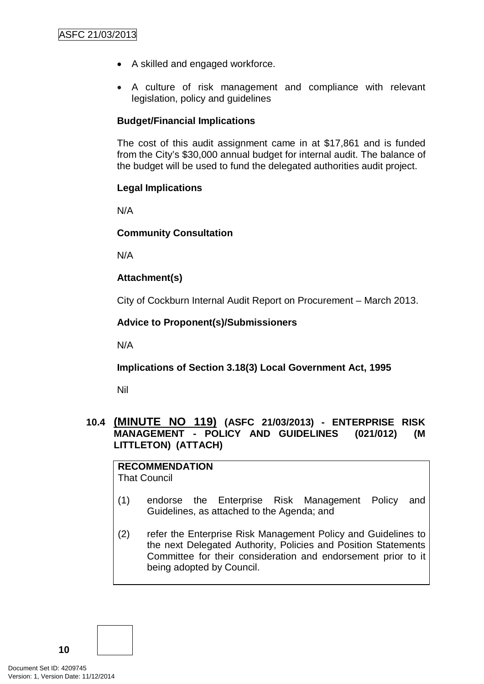- A skilled and engaged workforce.
- A culture of risk management and compliance with relevant legislation, policy and guidelines

## **Budget/Financial Implications**

The cost of this audit assignment came in at \$17,861 and is funded from the City's \$30,000 annual budget for internal audit. The balance of the budget will be used to fund the delegated authorities audit project.

## **Legal Implications**

N/A

## **Community Consultation**

N/A

## **Attachment(s)**

City of Cockburn Internal Audit Report on Procurement – March 2013.

## **Advice to Proponent(s)/Submissioners**

N/A

## **Implications of Section 3.18(3) Local Government Act, 1995**

Nil

## **10.4 (MINUTE NO 119) (ASFC 21/03/2013) - ENTERPRISE RISK MANAGEMENT - POLICY AND GUIDELINES (021/012) (M LITTLETON) (ATTACH)**

**RECOMMENDATION** That Council

- (1) endorse the Enterprise Risk Management Policy and Guidelines, as attached to the Agenda; and
- (2) refer the Enterprise Risk Management Policy and Guidelines to the next Delegated Authority, Policies and Position Statements Committee for their consideration and endorsement prior to it being adopted by Council.

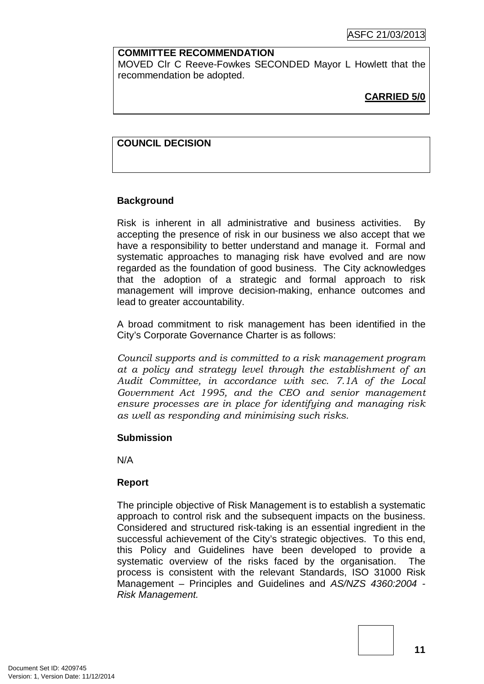## **COMMITTEE RECOMMENDATION**

MOVED Clr C Reeve-Fowkes SECONDED Mayor L Howlett that the recommendation be adopted.

## **CARRIED 5/0**

## **COUNCIL DECISION**

## **Background**

Risk is inherent in all administrative and business activities. By accepting the presence of risk in our business we also accept that we have a responsibility to better understand and manage it. Formal and systematic approaches to managing risk have evolved and are now regarded as the foundation of good business. The City acknowledges that the adoption of a strategic and formal approach to risk management will improve decision-making, enhance outcomes and lead to greater accountability.

A broad commitment to risk management has been identified in the City's Corporate Governance Charter is as follows:

*Council supports and is committed to a risk management program at a policy and strategy level through the establishment of an Audit Committee, in accordance with sec. 7.1A of the Local Government Act 1995, and the CEO and senior management ensure processes are in place for identifying and managing risk as well as responding and minimising such risks.*

## **Submission**

N/A

## **Report**

The principle objective of Risk Management is to establish a systematic approach to control risk and the subsequent impacts on the business. Considered and structured risk-taking is an essential ingredient in the successful achievement of the City's strategic objectives. To this end, this Policy and Guidelines have been developed to provide a systematic overview of the risks faced by the organisation. The process is consistent with the relevant Standards, ISO 31000 Risk Management – Principles and Guidelines and *AS/NZS 4360:2004 - Risk Management.*

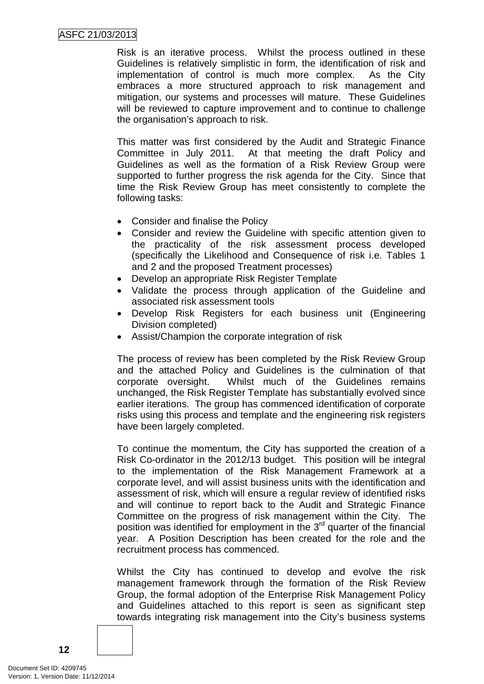Risk is an iterative process. Whilst the process outlined in these Guidelines is relatively simplistic in form, the identification of risk and implementation of control is much more complex. As the City embraces a more structured approach to risk management and mitigation, our systems and processes will mature. These Guidelines will be reviewed to capture improvement and to continue to challenge the organisation's approach to risk.

This matter was first considered by the Audit and Strategic Finance Committee in July 2011. At that meeting the draft Policy and Guidelines as well as the formation of a Risk Review Group were supported to further progress the risk agenda for the City. Since that time the Risk Review Group has meet consistently to complete the following tasks:

- Consider and finalise the Policy
- Consider and review the Guideline with specific attention given to the practicality of the risk assessment process developed (specifically the Likelihood and Consequence of risk i.e. Tables 1 and 2 and the proposed Treatment processes)
- Develop an appropriate Risk Register Template
- Validate the process through application of the Guideline and associated risk assessment tools
- Develop Risk Registers for each business unit (Engineering Division completed)
- Assist/Champion the corporate integration of risk

The process of review has been completed by the Risk Review Group and the attached Policy and Guidelines is the culmination of that corporate oversight. Whilst much of the Guidelines remains unchanged, the Risk Register Template has substantially evolved since earlier iterations. The group has commenced identification of corporate risks using this process and template and the engineering risk registers have been largely completed.

To continue the momentum, the City has supported the creation of a Risk Co-ordinator in the 2012/13 budget. This position will be integral to the implementation of the Risk Management Framework at a corporate level, and will assist business units with the identification and assessment of risk, which will ensure a regular review of identified risks and will continue to report back to the Audit and Strategic Finance Committee on the progress of risk management within the City. The position was identified for employment in the  $3<sup>rd</sup>$  quarter of the financial year. A Position Description has been created for the role and the recruitment process has commenced.

Whilst the City has continued to develop and evolve the risk management framework through the formation of the Risk Review Group, the formal adoption of the Enterprise Risk Management Policy and Guidelines attached to this report is seen as significant step towards integrating risk management into the City's business systems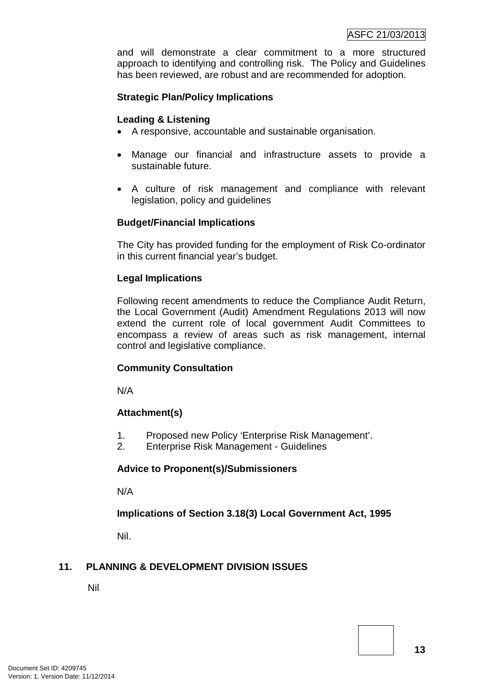and will demonstrate a clear commitment to a more structured approach to identifying and controlling risk. The Policy and Guidelines has been reviewed, are robust and are recommended for adoption.

## **Strategic Plan/Policy Implications**

#### **Leading & Listening**

- A responsive, accountable and sustainable organisation.
- Manage our financial and infrastructure assets to provide a sustainable future.
- A culture of risk management and compliance with relevant legislation, policy and guidelines

#### **Budget/Financial Implications**

The City has provided funding for the employment of Risk Co-ordinator in this current financial year's budget.

#### **Legal Implications**

Following recent amendments to reduce the Compliance Audit Return, the Local Government (Audit) Amendment Regulations 2013 will now extend the current role of local government Audit Committees to encompass a review of areas such as risk management, internal control and legislative compliance.

#### **Community Consultation**

N/A

## **Attachment(s)**

- 1. Proposed new Policy 'Enterprise Risk Management'.
- 2. Enterprise Risk Management Guidelines

#### **Advice to Proponent(s)/Submissioners**

N/A

## **Implications of Section 3.18(3) Local Government Act, 1995**

Nil.

## **11. PLANNING & DEVELOPMENT DIVISION ISSUES**

Nil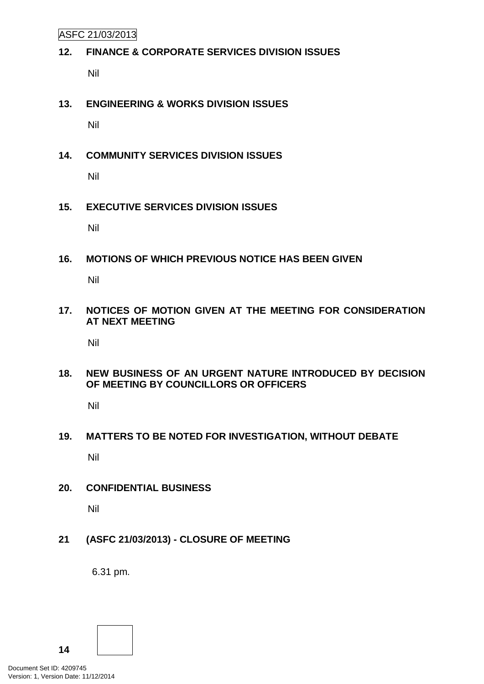ASFC 21/03/2013

## **12. FINANCE & CORPORATE SERVICES DIVISION ISSUES**

Nil

## **13. ENGINEERING & WORKS DIVISION ISSUES**

Nil

## **14. COMMUNITY SERVICES DIVISION ISSUES**

Nil

## **15. EXECUTIVE SERVICES DIVISION ISSUES**

Nil

## **16. MOTIONS OF WHICH PREVIOUS NOTICE HAS BEEN GIVEN**

Nil

## **17. NOTICES OF MOTION GIVEN AT THE MEETING FOR CONSIDERATION AT NEXT MEETING**

Nil

## **18. NEW BUSINESS OF AN URGENT NATURE INTRODUCED BY DECISION OF MEETING BY COUNCILLORS OR OFFICERS**

Nil

# **19. MATTERS TO BE NOTED FOR INVESTIGATION, WITHOUT DEBATE** Nil

## **20. CONFIDENTIAL BUSINESS**

Nil

## **21 (ASFC 21/03/2013) - CLOSURE OF MEETING**

6.31 pm.